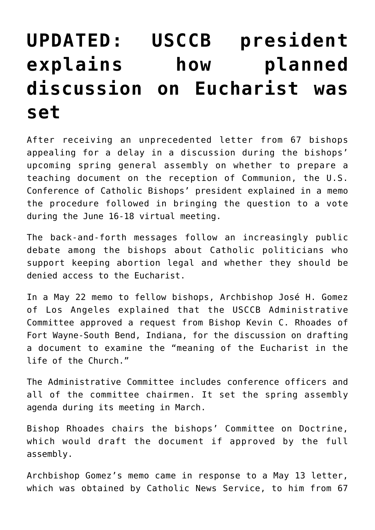## **[UPDATED: USCCB president](https://www.osvnews.com/2021/05/26/usccb-president-explains-how-planned-discussion-on-eucharist-was-set/) [explains how planned](https://www.osvnews.com/2021/05/26/usccb-president-explains-how-planned-discussion-on-eucharist-was-set/) [discussion on Eucharist was](https://www.osvnews.com/2021/05/26/usccb-president-explains-how-planned-discussion-on-eucharist-was-set/) [set](https://www.osvnews.com/2021/05/26/usccb-president-explains-how-planned-discussion-on-eucharist-was-set/)**

After receiving an unprecedented letter from 67 bishops appealing for a delay in a discussion during the bishops' upcoming spring general assembly on whether to prepare a teaching document on the reception of Communion, the U.S. Conference of Catholic Bishops' president explained in a memo the procedure followed in bringing the question to a vote during the June 16-18 virtual meeting.

The back-and-forth messages follow an increasingly public debate among the bishops about Catholic politicians who support keeping abortion legal and whether they should be denied access to the Eucharist.

In a May 22 memo to fellow bishops, Archbishop José H. Gomez of Los Angeles explained that the USCCB Administrative Committee approved a request from Bishop Kevin C. Rhoades of Fort Wayne-South Bend, Indiana, for the discussion on drafting a document to examine the "meaning of the Eucharist in the life of the Church."

The Administrative Committee includes conference officers and all of the committee chairmen. It set the spring assembly agenda during its meeting in March.

Bishop Rhoades chairs the bishops' Committee on Doctrine, which would draft the document if approved by the full assembly.

Archbishop Gomez's memo came in response to a May 13 letter, which was obtained by Catholic News Service, to him from 67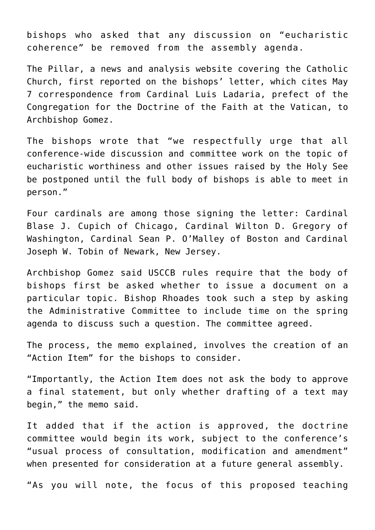bishops who asked that any discussion on "eucharistic coherence" be removed from the assembly agenda.

The Pillar, a news and analysis website covering the Catholic Church, first reported on the bishops' letter, which cites May 7 correspondence from Cardinal Luis Ladaria, prefect of the Congregation for the Doctrine of the Faith at the Vatican, to Archbishop Gomez.

The bishops wrote that "we respectfully urge that all conference-wide discussion and committee work on the topic of eucharistic worthiness and other issues raised by the Holy See be postponed until the full body of bishops is able to meet in person."

Four cardinals are among those signing the letter: Cardinal Blase J. Cupich of Chicago, Cardinal Wilton D. Gregory of Washington, Cardinal Sean P. O'Malley of Boston and Cardinal Joseph W. Tobin of Newark, New Jersey.

Archbishop Gomez said USCCB rules require that the body of bishops first be asked whether to issue a document on a particular topic. Bishop Rhoades took such a step by asking the Administrative Committee to include time on the spring agenda to discuss such a question. The committee agreed.

The process, the memo explained, involves the creation of an "Action Item" for the bishops to consider.

"Importantly, the Action Item does not ask the body to approve a final statement, but only whether drafting of a text may begin," the memo said.

It added that if the action is approved, the doctrine committee would begin its work, subject to the conference's "usual process of consultation, modification and amendment" when presented for consideration at a future general assembly.

"As you will note, the focus of this proposed teaching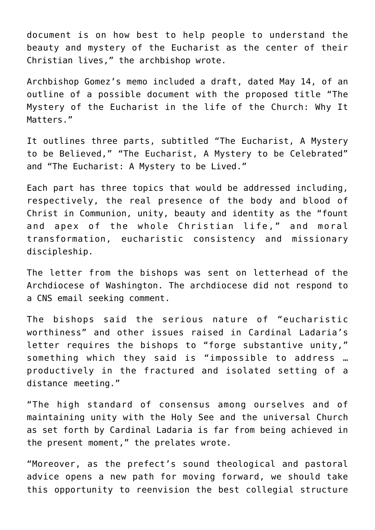document is on how best to help people to understand the beauty and mystery of the Eucharist as the center of their Christian lives," the archbishop wrote.

Archbishop Gomez's memo included a draft, dated May 14, of an outline of a possible document with the proposed title "The Mystery of the Eucharist in the life of the Church: Why It Matters."

It outlines three parts, subtitled "The Eucharist, A Mystery to be Believed," "The Eucharist, A Mystery to be Celebrated" and "The Eucharist: A Mystery to be Lived."

Each part has three topics that would be addressed including, respectively, the real presence of the body and blood of Christ in Communion, unity, beauty and identity as the "fount and apex of the whole Christian life," and moral transformation, eucharistic consistency and missionary discipleship.

The letter from the bishops was sent on letterhead of the Archdiocese of Washington. The archdiocese did not respond to a CNS email seeking comment.

The bishops said the serious nature of "eucharistic worthiness" and other issues raised in Cardinal Ladaria's letter requires the bishops to "forge substantive unity," something which they said is "impossible to address … productively in the fractured and isolated setting of a distance meeting."

"The high standard of consensus among ourselves and of maintaining unity with the Holy See and the universal Church as set forth by Cardinal Ladaria is far from being achieved in the present moment," the prelates wrote.

"Moreover, as the prefect's sound theological and pastoral advice opens a new path for moving forward, we should take this opportunity to reenvision the best collegial structure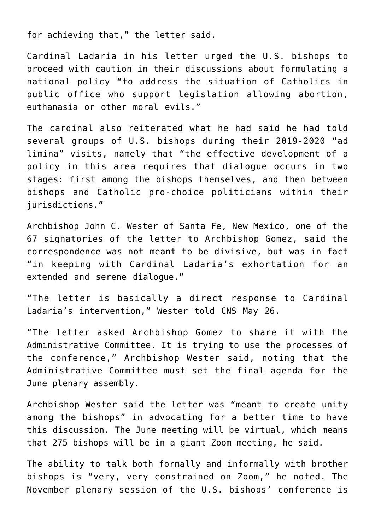for achieving that," the letter said.

Cardinal Ladaria in his letter urged the U.S. bishops to proceed with caution in their discussions about formulating a national policy "to address the situation of Catholics in public office who support legislation allowing abortion, euthanasia or other moral evils."

The cardinal also reiterated what he had said he had told several groups of U.S. bishops during their 2019-2020 "ad limina" visits, namely that "the effective development of a policy in this area requires that dialogue occurs in two stages: first among the bishops themselves, and then between bishops and Catholic pro-choice politicians within their jurisdictions."

Archbishop John C. Wester of Santa Fe, New Mexico, one of the 67 signatories of the letter to Archbishop Gomez, said the correspondence was not meant to be divisive, but was in fact "in keeping with Cardinal Ladaria's exhortation for an extended and serene dialogue."

"The letter is basically a direct response to Cardinal Ladaria's intervention," Wester told CNS May 26.

"The letter asked Archbishop Gomez to share it with the Administrative Committee. It is trying to use the processes of the conference," Archbishop Wester said, noting that the Administrative Committee must set the final agenda for the June plenary assembly.

Archbishop Wester said the letter was "meant to create unity among the bishops" in advocating for a better time to have this discussion. The June meeting will be virtual, which means that 275 bishops will be in a giant Zoom meeting, he said.

The ability to talk both formally and informally with brother bishops is "very, very constrained on Zoom," he noted. The November plenary session of the U.S. bishops' conference is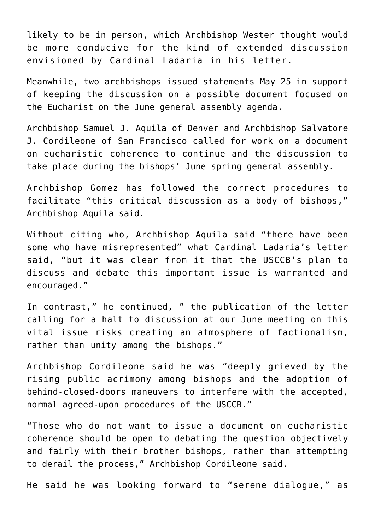likely to be in person, which Archbishop Wester thought would be more conducive for the kind of extended discussion envisioned by Cardinal Ladaria in his letter.

Meanwhile, two archbishops issued statements May 25 in support of keeping the discussion on a possible document focused on the Eucharist on the June general assembly agenda.

Archbishop Samuel J. Aquila of Denver and Archbishop Salvatore J. Cordileone of San Francisco called for work on a document on eucharistic coherence to continue and the discussion to take place during the bishops' June spring general assembly.

Archbishop Gomez has followed the correct procedures to facilitate "this critical discussion as a body of bishops," Archbishop Aquila said.

Without citing who, Archbishop Aquila said "there have been some who have misrepresented" what Cardinal Ladaria's letter said, "but it was clear from it that the USCCB's plan to discuss and debate this important issue is warranted and encouraged."

In contrast," he continued, " the publication of the letter calling for a halt to discussion at our June meeting on this vital issue risks creating an atmosphere of factionalism, rather than unity among the bishops."

Archbishop Cordileone said he was "deeply grieved by the rising public acrimony among bishops and the adoption of behind-closed-doors maneuvers to interfere with the accepted, normal agreed-upon procedures of the USCCB."

"Those who do not want to issue a document on eucharistic coherence should be open to debating the question objectively and fairly with their brother bishops, rather than attempting to derail the process," Archbishop Cordileone said.

He said he was looking forward to "serene dialogue," as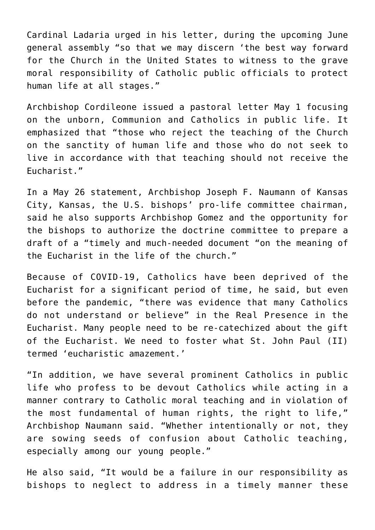Cardinal Ladaria urged in his letter, during the upcoming June general assembly "so that we may discern 'the best way forward for the Church in the United States to witness to the grave moral responsibility of Catholic public officials to protect human life at all stages."

Archbishop Cordileone issued a pastoral letter May 1 focusing on the unborn, Communion and Catholics in public life. It emphasized that "those who reject the teaching of the Church on the sanctity of human life and those who do not seek to live in accordance with that teaching should not receive the Eucharist."

In a May 26 statement, Archbishop Joseph F. Naumann of Kansas City, Kansas, the U.S. bishops' pro-life committee chairman, said he also supports Archbishop Gomez and the opportunity for the bishops to authorize the doctrine committee to prepare a draft of a "timely and much-needed document "on the meaning of the Eucharist in the life of the church."

Because of COVID-19, Catholics have been deprived of the Eucharist for a significant period of time, he said, but even before the pandemic, "there was evidence that many Catholics do not understand or believe" in the Real Presence in the Eucharist. Many people need to be re-catechized about the gift of the Eucharist. We need to foster what St. John Paul (II) termed 'eucharistic amazement.'

"In addition, we have several prominent Catholics in public life who profess to be devout Catholics while acting in a manner contrary to Catholic moral teaching and in violation of the most fundamental of human rights, the right to life," Archbishop Naumann said. "Whether intentionally or not, they are sowing seeds of confusion about Catholic teaching, especially among our young people."

He also said, "It would be a failure in our responsibility as bishops to neglect to address in a timely manner these